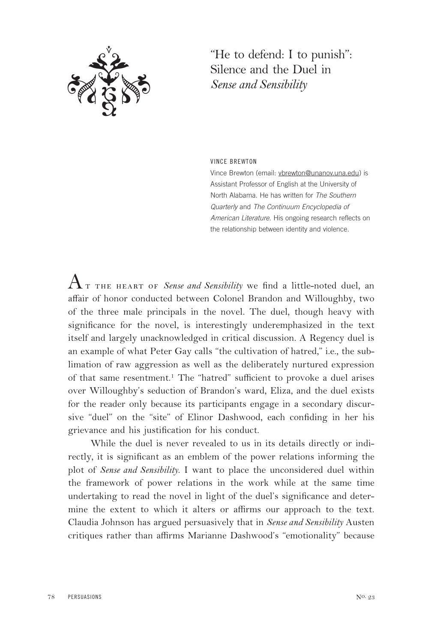

"He to defend: I to punish": Silence and the Duel in *Sense and Sensibility*

VINCE BREWTON

Vince Brewton (email: vbrewton@unanov.una.edu) is Assistant Professor of English at the University of North Alabama. He has written for *The Southern Quarterly* and *The Continuum Encyclopedia of American Literature*. His ongoing research reflects on the relationship between identity and violence.

 $A$ т тне неавт ог *Sense and Sensibility* we find a little-noted duel, an affair of honor conducted between Colonel Brandon and Willoughby, two of the three male principals in the novel. The duel, though heavy with significance for the novel, is interestingly underemphasized in the text itself and largely unacknowledged in critical discussion. A Regency duel is an example of what Peter Gay calls "the cultivation of hatred," i.e., the sublimation of raw aggression as well as the deliberately nurtured expression of that same resentment.1 The "hatred" sufficient to provoke a duel arises over Willoughby's seduction of Brandon's ward, Eliza, and the duel exists for the reader only because its participants engage in a secondary discursive "duel" on the "site" of Elinor Dashwood, each confiding in her his grievance and his justification for his conduct.

While the duel is never revealed to us in its details directly or indirectly, it is significant as an emblem of the power relations informing the plot of *Sense and Sensibility*. I want to place the unconsidered duel within the framework of power relations in the work while at the same time undertaking to read the novel in light of the duel's significance and determine the extent to which it alters or affirms our approach to the text. Claudia Johnson has argued persuasively that in *Sense and Sensibility* Austen critiques rather than affirms Marianne Dashwood's "emotionality" because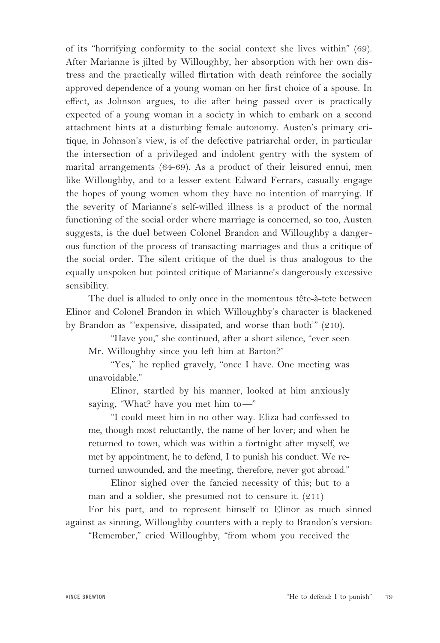of its "horrifying conformity to the social context she lives within" (69). After Marianne is jilted by Willoughby, her absorption with her own distress and the practically willed flirtation with death reinforce the socially approved dependence of a young woman on her first choice of a spouse. In effect, as Johnson argues, to die after being passed over is practically expected of a young woman in a society in which to embark on a second attachment hints at a disturbing female autonomy. Austen's primary critique, in Johnson's view, is of the defective patriarchal order, in particular the intersection of a privileged and indolent gentry with the system of marital arrangements (64-69). As a product of their leisured ennui, men like Willoughby, and to a lesser extent Edward Ferrars, casually engage the hopes of young women whom they have no intention of marrying. If the severity of Marianne's self-willed illness is a product of the normal functioning of the social order where marriage is concerned, so too, Austen suggests, is the duel between Colonel Brandon and Willoughby a dangerous function of the process of transacting marriages and thus a critique of the social order. The silent critique of the duel is thus analogous to the equally unspoken but pointed critique of Marianne's dangerously excessive sensibility.

The duel is alluded to only once in the momentous tête-à-tete between Elinor and Colonel Brandon in which Willoughby's character is blackened by Brandon as "'expensive, dissipated, and worse than both'" (210).

"Have you," she continued, after a short silence, "ever seen Mr. Willoughby since you left him at Barton?"

"Yes," he replied gravely, "once I have. One meeting was unavoidable."

Elinor, startled by his manner, looked at him anxiously saying, "What? have you met him to—"

"I could meet him in no other way. Eliza had confessed to me, though most reluctantly, the name of her lover; and when he returned to town, which was within a fortnight after myself, we met by appointment, he to defend, I to punish his conduct. We returned unwounded, and the meeting, therefore, never got abroad."

Elinor sighed over the fancied necessity of this; but to a man and a soldier, she presumed not to censure it. (211)

For his part, and to represent himself to Elinor as much sinned against as sinning, Willoughby counters with a reply to Brandon's version:

"Remember," cried Willoughby, "from whom you received the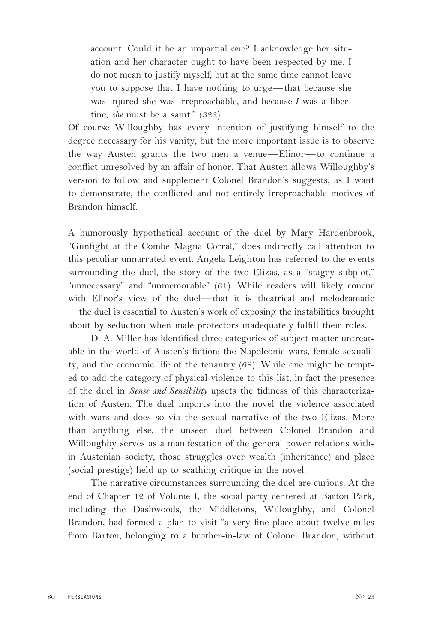account. Could it be an impartial one? I acknowledge her situation and her character ought to have been respected by me. I do not mean to justify myself, but at the same time cannot leave you to suppose that I have nothing to urge—that because she was injured she was irreproachable, and because *I* was a libertine, *she* must be a saint." (322)

Of course Willoughby has every intention of justifying himself to the degree necessary for his vanity, but the more important issue is to observe the way Austen grants the two men a venue—Elinor—to continue a conflict unresolved by an affair of honor. That Austen allows Willoughby's version to follow and supplement Colonel Brandon's suggests, as I want to demonstrate, the conflicted and not entirely irreproachable motives of Brandon himself.

A humorously hypothetical account of the duel by Mary Hardenbrook, "Gunfight at the Combe Magna Corral," does indirectly call attention to this peculiar unnarrated event. Angela Leighton has referred to the events surrounding the duel, the story of the two Elizas, as a "stagey subplot," "unnecessary" and "unmemorable" (61). While readers will likely concur with Elinor's view of the duel—that it is theatrical and melodramatic —the duel is essential to Austen's work of exposing the instabilities brought about by seduction when male protectors inadequately fulfill their roles.

D. A. Miller has identified three categories of subject matter untreatable in the world of Austen's fiction: the Napoleonic wars, female sexuality, and the economic life of the tenantry (68). While one might be tempted to add the category of physical violence to this list, in fact the presence of the duel in *Sense and Sensibility* upsets the tidiness of this characterization of Austen. The duel imports into the novel the violence associated with wars and does so via the sexual narrative of the two Elizas. More than anything else, the unseen duel between Colonel Brandon and Willoughby serves as a manifestation of the general power relations within Austenian society, those struggles over wealth (inheritance) and place (social prestige) held up to scathing critique in the novel.

The narrative circumstances surrounding the duel are curious. At the end of Chapter 12 of Volume I, the social party centered at Barton Park, including the Dashwoods, the Middletons, Willoughby, and Colonel Brandon, had formed a plan to visit "a very fine place about twelve miles from Barton, belonging to a brother-in-law of Colonel Brandon, without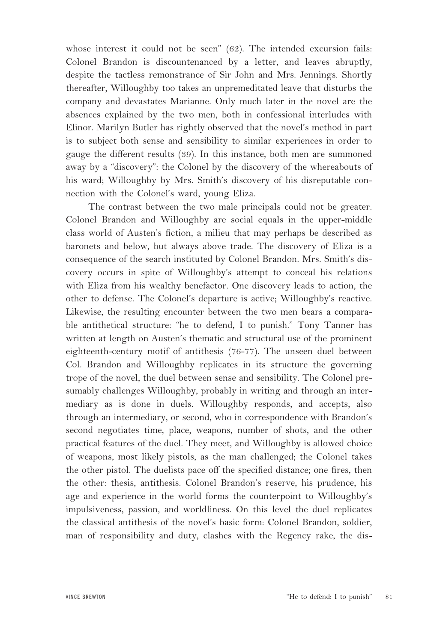whose interest it could not be seen" (62). The intended excursion fails: Colonel Brandon is discountenanced by a letter, and leaves abruptly, despite the tactless remonstrance of Sir John and Mrs. Jennings. Shortly thereafter, Willoughby too takes an unpremeditated leave that disturbs the company and devastates Marianne. Only much later in the novel are the absences explained by the two men, both in confessional interludes with Elinor. Marilyn Butler has rightly observed that the novel's method in part is to subject both sense and sensibility to similar experiences in order to gauge the different results (39). In this instance, both men are summoned away by a "discovery": the Colonel by the discovery of the whereabouts of his ward; Willoughby by Mrs. Smith's discovery of his disreputable connection with the Colonel's ward, young Eliza.

The contrast between the two male principals could not be greater. Colonel Brandon and Willoughby are social equals in the upper-middle class world of Austen's fiction, a milieu that may perhaps be described as baronets and below, but always above trade. The discovery of Eliza is a consequence of the search instituted by Colonel Brandon. Mrs. Smith's discovery occurs in spite of Willoughby's attempt to conceal his relations with Eliza from his wealthy benefactor. One discovery leads to action, the other to defense. The Colonel's departure is active; Willoughby's reactive. Likewise, the resulting encounter between the two men bears a comparable antithetical structure: "he to defend, I to punish." Tony Tanner has written at length on Austen's thematic and structural use of the prominent eighteenth-century motif of antithesis (76-77). The unseen duel between Col. Brandon and Willoughby replicates in its structure the governing trope of the novel, the duel between sense and sensibility. The Colonel presumably challenges Willoughby, probably in writing and through an intermediary as is done in duels. Willoughby responds, and accepts, also through an intermediary, or second, who in correspondence with Brandon's second negotiates time, place, weapons, number of shots, and the other practical features of the duel. They meet, and Willoughby is allowed choice of weapons, most likely pistols, as the man challenged; the Colonel takes the other pistol. The duelists pace off the specified distance; one fires, then the other: thesis, antithesis. Colonel Brandon's reserve, his prudence, his age and experience in the world forms the counterpoint to Willoughby's impulsiveness, passion, and worldliness. On this level the duel replicates the classical antithesis of the novel's basic form: Colonel Brandon, soldier, man of responsibility and duty, clashes with the Regency rake, the dis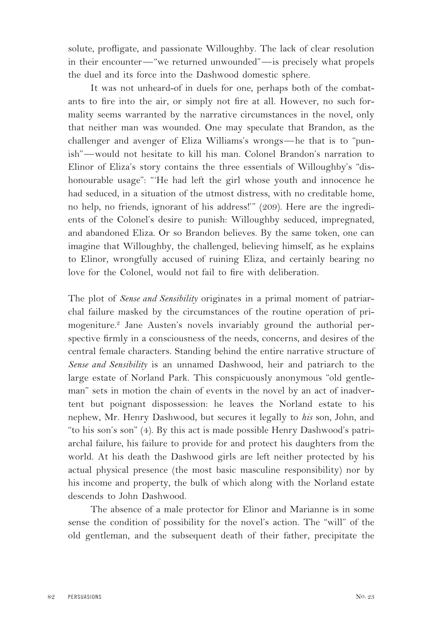solute, profligate, and passionate Willoughby. The lack of clear resolution in their encounter—"we returned unwounded"—is precisely what propels the duel and its force into the Dashwood domestic sphere.

It was not unheard-of in duels for one, perhaps both of the combatants to fire into the air, or simply not fire at all. However, no such formality seems warranted by the narrative circumstances in the novel, only that neither man was wounded. One may speculate that Brandon, as the challenger and avenger of Eliza Williams's wrongs—he that is to "punish"—would not hesitate to kill his man. Colonel Brandon's narration to Elinor of Eliza's story contains the three essentials of Willoughby's "dishonourable usage": "'He had left the girl whose youth and innocence he had seduced, in a situation of the utmost distress, with no creditable home, no help, no friends, ignorant of his address!'" (209). Here are the ingredients of the Colonel's desire to punish: Willoughby seduced, impregnated, and abandoned Eliza. Or so Brandon believes. By the same token, one can imagine that Willoughby, the challenged, believing himself, as he explains to Elinor, wrongfully accused of ruining Eliza, and certainly bearing no love for the Colonel, would not fail to fire with deliberation.

The plot of *Sense and Sensibility* originates in a primal moment of patriarchal failure masked by the circumstances of the routine operation of primogeniture.<sup>2</sup> Jane Austen's novels invariably ground the authorial perspective firmly in a consciousness of the needs, concerns, and desires of the central female characters. Standing behind the entire narrative structure of *Sense and Sensibility* is an unnamed Dashwood, heir and patriarch to the large estate of Norland Park. This conspicuously anonymous "old gentleman" sets in motion the chain of events in the novel by an act of inadvertent but poignant dispossession: he leaves the Norland estate to his nephew, Mr. Henry Dashwood, but secures it legally to *his* son, John, and "to his son's son" (4). By this act is made possible Henry Dashwood's patriarchal failure, his failure to provide for and protect his daughters from the world. At his death the Dashwood girls are left neither protected by his actual physical presence (the most basic masculine responsibility) nor by his income and property, the bulk of which along with the Norland estate descends to John Dashwood.

The absence of a male protector for Elinor and Marianne is in some sense the condition of possibility for the novel's action. The "will" of the old gentleman, and the subsequent death of their father, precipitate the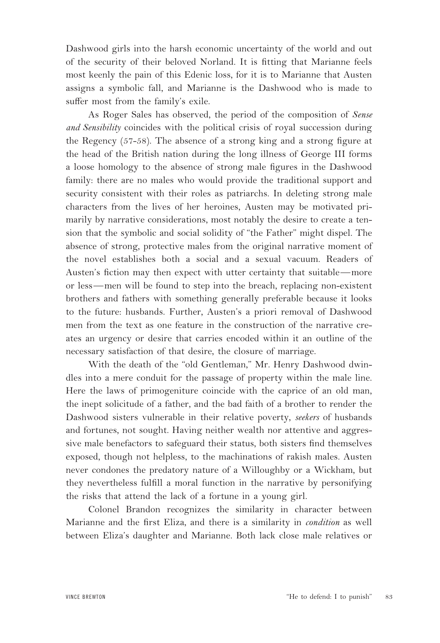Dashwood girls into the harsh economic uncertainty of the world and out of the security of their beloved Norland. It is fitting that Marianne feels most keenly the pain of this Edenic loss, for it is to Marianne that Austen assigns a symbolic fall, and Marianne is the Dashwood who is made to suffer most from the family's exile.

As Roger Sales has observed, the period of the composition of *Sense and Sensibility* coincides with the political crisis of royal succession during the Regency (57-58). The absence of a strong king and a strong figure at the head of the British nation during the long illness of George III forms a loose homology to the absence of strong male figures in the Dashwood family: there are no males who would provide the traditional support and security consistent with their roles as patriarchs. In deleting strong male characters from the lives of her heroines, Austen may be motivated primarily by narrative considerations, most notably the desire to create a tension that the symbolic and social solidity of "the Father" might dispel. The absence of strong, protective males from the original narrative moment of the novel establishes both a social and a sexual vacuum. Readers of Austen's fiction may then expect with utter certainty that suitable—more or less—men will be found to step into the breach, replacing non-existent brothers and fathers with something generally preferable because it looks to the future: husbands. Further, Austen's a priori removal of Dashwood men from the text as one feature in the construction of the narrative creates an urgency or desire that carries encoded within it an outline of the necessary satisfaction of that desire, the closure of marriage.

With the death of the "old Gentleman," Mr. Henry Dashwood dwindles into a mere conduit for the passage of property within the male line. Here the laws of primogeniture coincide with the caprice of an old man, the inept solicitude of a father, and the bad faith of a brother to render the Dashwood sisters vulnerable in their relative poverty, *seekers* of husbands and fortunes, not sought. Having neither wealth nor attentive and aggressive male benefactors to safeguard their status, both sisters find themselves exposed, though not helpless, to the machinations of rakish males. Austen never condones the predatory nature of a Willoughby or a Wickham, but they nevertheless fulfill a moral function in the narrative by personifying the risks that attend the lack of a fortune in a young girl.

Colonel Brandon recognizes the similarity in character between Marianne and the first Eliza, and there is a similarity in *condition* as well between Eliza's daughter and Marianne. Both lack close male relatives or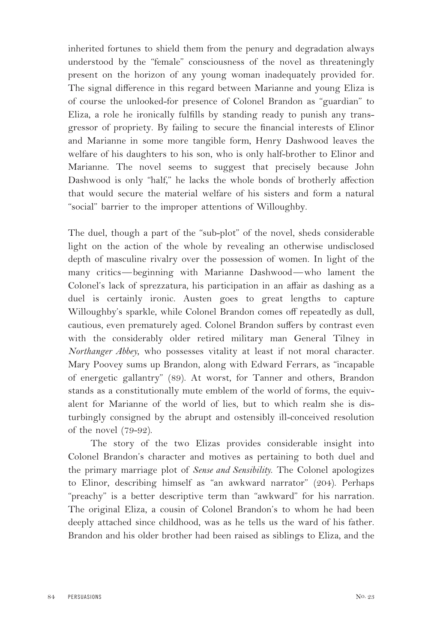inherited fortunes to shield them from the penury and degradation always understood by the "female" consciousness of the novel as threateningly present on the horizon of any young woman inadequately provided for. The signal difference in this regard between Marianne and young Eliza is of course the unlooked-for presence of Colonel Brandon as "guardian" to Eliza, a role he ironically fulfills by standing ready to punish any transgressor of propriety. By failing to secure the financial interests of Elinor and Marianne in some more tangible form, Henry Dashwood leaves the welfare of his daughters to his son, who is only half-brother to Elinor and Marianne. The novel seems to suggest that precisely because John Dashwood is only "half," he lacks the whole bonds of brotherly affection that would secure the material welfare of his sisters and form a natural "social" barrier to the improper attentions of Willoughby.

The duel, though a part of the "sub-plot" of the novel, sheds considerable light on the action of the whole by revealing an otherwise undisclosed depth of masculine rivalry over the possession of women. In light of the many critics—beginning with Marianne Dashwood—who lament the Colonel's lack of sprezzatura, his participation in an affair as dashing as a duel is certainly ironic. Austen goes to great lengths to capture Willoughby's sparkle, while Colonel Brandon comes off repeatedly as dull, cautious, even prematurely aged. Colonel Brandon suffers by contrast even with the considerably older retired military man General Tilney in *Northanger Abbey*, who possesses vitality at least if not moral character. Mary Poovey sums up Brandon, along with Edward Ferrars, as "incapable of energetic gallantry" (89). At worst, for Tanner and others, Brandon stands as a constitutionally mute emblem of the world of forms, the equivalent for Marianne of the world of lies, but to which realm she is disturbingly consigned by the abrupt and ostensibly ill-conceived resolution of the novel (79-92).

The story of the two Elizas provides considerable insight into Colonel Brandon's character and motives as pertaining to both duel and the primary marriage plot of *Sense and Sensibility*. The Colonel apologizes to Elinor, describing himself as "an awkward narrator" (204). Perhaps "preachy" is a better descriptive term than "awkward" for his narration. The original Eliza, a cousin of Colonel Brandon's to whom he had been deeply attached since childhood, was as he tells us the ward of his father. Brandon and his older brother had been raised as siblings to Eliza, and the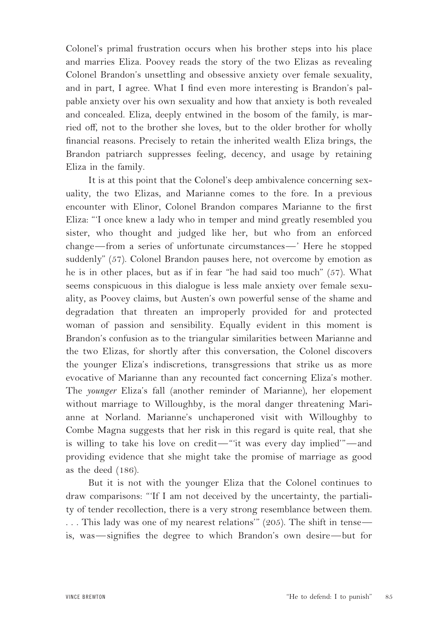Colonel's primal frustration occurs when his brother steps into his place and marries Eliza. Poovey reads the story of the two Elizas as revealing Colonel Brandon's unsettling and obsessive anxiety over female sexuality, and in part, I agree. What I find even more interesting is Brandon's palpable anxiety over his own sexuality and how that anxiety is both revealed and concealed. Eliza, deeply entwined in the bosom of the family, is married off, not to the brother she loves, but to the older brother for wholly financial reasons. Precisely to retain the inherited wealth Eliza brings, the Brandon patriarch suppresses feeling, decency, and usage by retaining Eliza in the family.

It is at this point that the Colonel's deep ambivalence concerning sexuality, the two Elizas, and Marianne comes to the fore. In a previous encounter with Elinor, Colonel Brandon compares Marianne to the first Eliza: "'I once knew a lady who in temper and mind greatly resembled you sister, who thought and judged like her, but who from an enforced change—from a series of unfortunate circumstances—' Here he stopped suddenly" (57). Colonel Brandon pauses here, not overcome by emotion as he is in other places, but as if in fear "he had said too much" (57). What seems conspicuous in this dialogue is less male anxiety over female sexuality, as Poovey claims, but Austen's own powerful sense of the shame and degradation that threaten an improperly provided for and protected woman of passion and sensibility. Equally evident in this moment is Brandon's confusion as to the triangular similarities between Marianne and the two Elizas, for shortly after this conversation, the Colonel discovers the younger Eliza's indiscretions, transgressions that strike us as more evocative of Marianne than any recounted fact concerning Eliza's mother. The *younger* Eliza's fall (another reminder of Marianne), her elopement without marriage to Willoughby, is the moral danger threatening Marianne at Norland. Marianne's unchaperoned visit with Willoughby to Combe Magna suggests that her risk in this regard is quite real, that she is willing to take his love on credit—"'it was every day implied'"—and providing evidence that she might take the promise of marriage as good as the deed (186).

But it is not with the younger Eliza that the Colonel continues to draw comparisons: "'If I am not deceived by the uncertainty, the partiality of tender recollection, there is a very strong resemblance between them. . . . This lady was one of my nearest relations'" (205). The shift in tense is, was—signifies the degree to which Brandon's own desire—but for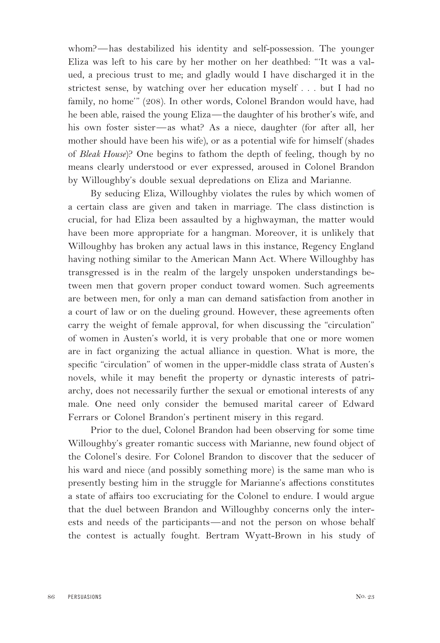whom?—has destabilized his identity and self-possession. The younger Eliza was left to his care by her mother on her deathbed: "'It was a valued, a precious trust to me; and gladly would I have discharged it in the strictest sense, by watching over her education myself . . . but I had no family, no home'" (208). In other words, Colonel Brandon would have, had he been able, raised the young Eliza—the daughter of his brother's wife, and his own foster sister—as what? As a niece, daughter (for after all, her mother should have been his wife), or as a potential wife for himself (shades of *Bleak House*)? One begins to fathom the depth of feeling, though by no means clearly understood or ever expressed, aroused in Colonel Brandon by Willoughby's double sexual depredations on Eliza and Marianne.

By seducing Eliza, Willoughby violates the rules by which women of a certain class are given and taken in marriage. The class distinction is crucial, for had Eliza been assaulted by a highwayman, the matter would have been more appropriate for a hangman. Moreover, it is unlikely that Willoughby has broken any actual laws in this instance, Regency England having nothing similar to the American Mann Act. Where Willoughby has transgressed is in the realm of the largely unspoken understandings between men that govern proper conduct toward women. Such agreements are between men, for only a man can demand satisfaction from another in a court of law or on the dueling ground. However, these agreements often carry the weight of female approval, for when discussing the "circulation" of women in Austen's world, it is very probable that one or more women are in fact organizing the actual alliance in question. What is more, the specific "circulation" of women in the upper-middle class strata of Austen's novels, while it may benefit the property or dynastic interests of patriarchy, does not necessarily further the sexual or emotional interests of any male. One need only consider the bemused marital career of Edward Ferrars or Colonel Brandon's pertinent misery in this regard.

Prior to the duel, Colonel Brandon had been observing for some time Willoughby's greater romantic success with Marianne, new found object of the Colonel's desire. For Colonel Brandon to discover that the seducer of his ward and niece (and possibly something more) is the same man who is presently besting him in the struggle for Marianne's affections constitutes a state of affairs too excruciating for the Colonel to endure. I would argue that the duel between Brandon and Willoughby concerns only the interests and needs of the participants—and not the person on whose behalf the contest is actually fought. Bertram Wyatt-Brown in his study of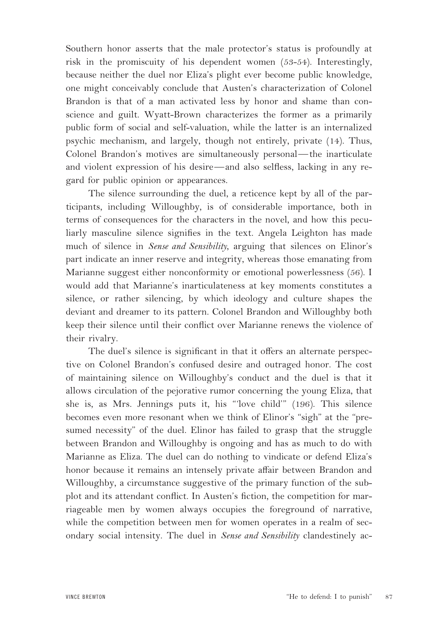Southern honor asserts that the male protector's status is profoundly at risk in the promiscuity of his dependent women (53-54). Interestingly, because neither the duel nor Eliza's plight ever become public knowledge, one might conceivably conclude that Austen's characterization of Colonel Brandon is that of a man activated less by honor and shame than conscience and guilt. Wyatt-Brown characterizes the former as a primarily public form of social and self-valuation, while the latter is an internalized psychic mechanism, and largely, though not entirely, private (14). Thus, Colonel Brandon's motives are simultaneously personal—the inarticulate and violent expression of his desire—and also selfless, lacking in any regard for public opinion or appearances.

The silence surrounding the duel, a reticence kept by all of the participants, including Willoughby, is of considerable importance, both in terms of consequences for the characters in the novel, and how this peculiarly masculine silence signifies in the text. Angela Leighton has made much of silence in *Sense and Sensibility*, arguing that silences on Elinor's part indicate an inner reserve and integrity, whereas those emanating from Marianne suggest either nonconformity or emotional powerlessness (56). I would add that Marianne's inarticulateness at key moments constitutes a silence, or rather silencing, by which ideology and culture shapes the deviant and dreamer to its pattern. Colonel Brandon and Willoughby both keep their silence until their conflict over Marianne renews the violence of their rivalry.

The duel's silence is significant in that it offers an alternate perspective on Colonel Brandon's confused desire and outraged honor. The cost of maintaining silence on Willoughby's conduct and the duel is that it allows circulation of the pejorative rumor concerning the young Eliza, that she is, as Mrs. Jennings puts it, his "'love child'" (196). This silence becomes even more resonant when we think of Elinor's "sigh" at the "presumed necessity" of the duel. Elinor has failed to grasp that the struggle between Brandon and Willoughby is ongoing and has as much to do with Marianne as Eliza. The duel can do nothing to vindicate or defend Eliza's honor because it remains an intensely private affair between Brandon and Willoughby, a circumstance suggestive of the primary function of the subplot and its attendant conflict. In Austen's fiction, the competition for marriageable men by women always occupies the foreground of narrative, while the competition between men for women operates in a realm of secondary social intensity. The duel in *Sense and Sensibility* clandestinely ac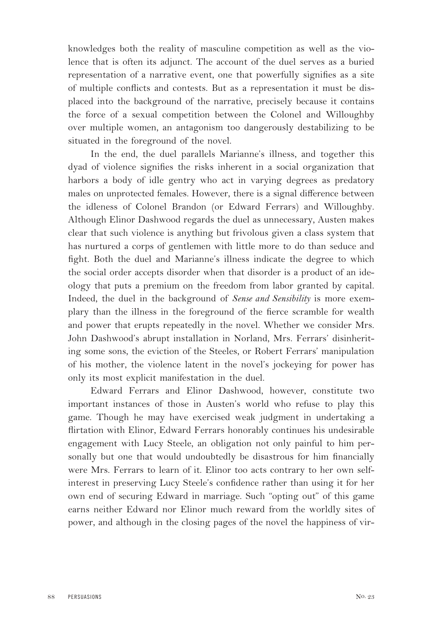knowledges both the reality of masculine competition as well as the violence that is often its adjunct. The account of the duel serves as a buried representation of a narrative event, one that powerfully signifies as a site of multiple conflicts and contests. But as a representation it must be displaced into the background of the narrative, precisely because it contains the force of a sexual competition between the Colonel and Willoughby over multiple women, an antagonism too dangerously destabilizing to be situated in the foreground of the novel.

In the end, the duel parallels Marianne's illness, and together this dyad of violence signifies the risks inherent in a social organization that harbors a body of idle gentry who act in varying degrees as predatory males on unprotected females. However, there is a signal difference between the idleness of Colonel Brandon (or Edward Ferrars) and Willoughby. Although Elinor Dashwood regards the duel as unnecessary, Austen makes clear that such violence is anything but frivolous given a class system that has nurtured a corps of gentlemen with little more to do than seduce and fight. Both the duel and Marianne's illness indicate the degree to which the social order accepts disorder when that disorder is a product of an ideology that puts a premium on the freedom from labor granted by capital. Indeed, the duel in the background of *Sense and Sensibility* is more exemplary than the illness in the foreground of the fierce scramble for wealth and power that erupts repeatedly in the novel. Whether we consider Mrs. John Dashwood's abrupt installation in Norland, Mrs. Ferrars' disinheriting some sons, the eviction of the Steeles, or Robert Ferrars' manipulation of his mother, the violence latent in the novel's jockeying for power has only its most explicit manifestation in the duel.

Edward Ferrars and Elinor Dashwood, however, constitute two important instances of those in Austen's world who refuse to play this game. Though he may have exercised weak judgment in undertaking a flirtation with Elinor, Edward Ferrars honorably continues his undesirable engagement with Lucy Steele, an obligation not only painful to him personally but one that would undoubtedly be disastrous for him financially were Mrs. Ferrars to learn of it. Elinor too acts contrary to her own selfinterest in preserving Lucy Steele's confidence rather than using it for her own end of securing Edward in marriage. Such "opting out" of this game earns neither Edward nor Elinor much reward from the worldly sites of power, and although in the closing pages of the novel the happiness of vir